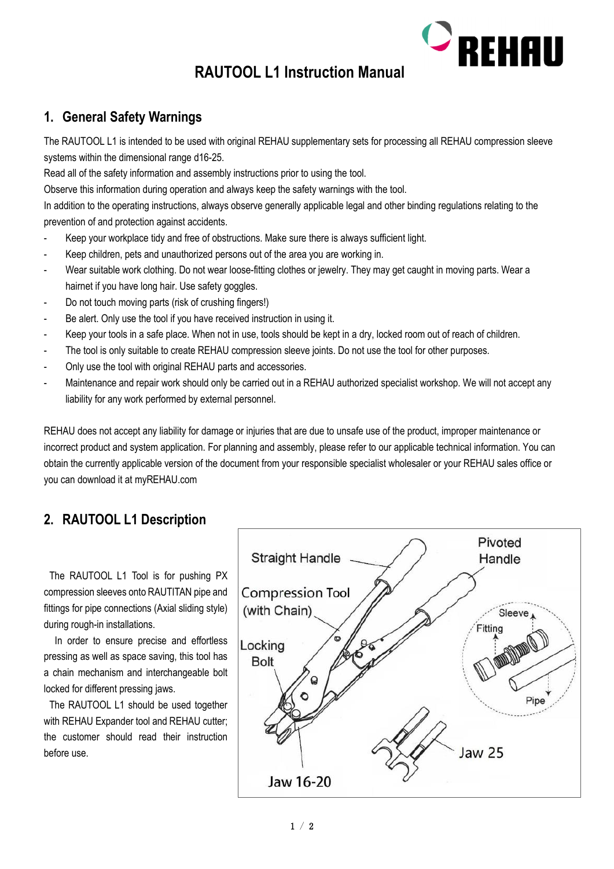

# **RAUTOOL L1 Instruction Manual**

## **1. General Safety Warnings**

The RAUTOOL L1 is intended to be used with original REHAU supplementary sets for processing all REHAU compression sleeve systems within the dimensional range d16-25.

Read all of the safety information and assembly instructions prior to using the tool.

Observe this information during operation and always keep the safety warnings with the tool.

In addition to the operating instructions, always observe generally applicable legal and other binding regulations relating to the prevention of and protection against accidents.

- Keep your workplace tidy and free of obstructions. Make sure there is always sufficient light.
- Keep children, pets and unauthorized persons out of the area you are working in.
- Wear suitable work clothing. Do not wear loose-fitting clothes or jewelry. They may get caught in moving parts. Wear a hairnet if you have long hair. Use safety goggles.
- Do not touch moving parts (risk of crushing fingers!)
- Be alert. Only use the tool if you have received instruction in using it.
- Keep your tools in a safe place. When not in use, tools should be kept in a dry, locked room out of reach of children.
- The tool is only suitable to create REHAU compression sleeve joints. Do not use the tool for other purposes.
- Only use the tool with original REHAU parts and accessories.
- Maintenance and repair work should only be carried out in a REHAU authorized specialist workshop. We will not accept any liability for any work performed by external personnel.

REHAU does not accept any liability for damage or injuries that are due to unsafe use of the product, improper maintenance or incorrect product and system application. For planning and assembly, please refer to our applicable technical information. You can obtain the currently applicable version of the document from your responsible specialist wholesaler or your REHAU sales office or you can download it at myREHAU.com

## **2. RAUTOOL L1 Description**

Pivoted **Straight Handle** Handle **Compression Tool** (with Chain) Sleeve Fitting Locking **Bolt** Pipe Jaw 25 **Jaw 16-20** 

The RAUTOOL L1 Tool is for pushing PX compression sleeves onto RAUTITAN pipe and fittings for pipe connections (Axial sliding style) during rough-in installations.

In order to ensure precise and effortless pressing as well as space saving, this tool has a chain mechanism and interchangeable bolt locked for different pressing jaws.

The RAUTOOL L1 should be used together with REHAU Expander tool and REHAU cutter; the customer should read their instruction before use.